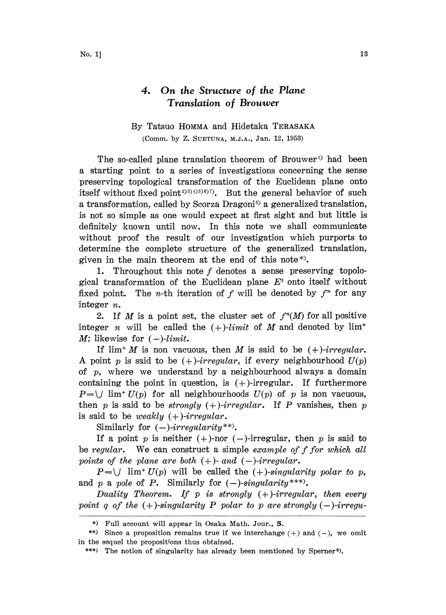## 4. On the Structure of the Plane Translation of Brouwer

## By Tatsuo HOMMA and Hidetaka TERASAKA

(Comm. by Z. SUETUNA, M.J.A., Jan. 12, 1953)

The so-called plane translation theorem of Brouwer<sup>1</sup> had been a starting point to a series of investigations concerning the sense preserving topological transformation of the Euclidean plane onto itself without fixed point<sup>2)3)4)5)6)7</sup>. But the general behavior of such a transformation, called by Scorza Dragoni<sup>5</sup> a generalized translation, is not so simple as one would expect at first sight and but little is definitely known until now. In this note we shall communicate without proof the result of our investigation which purports to determine the complete structure of the generalized translation, given in the main theorem at the end of this note\*).

1. Throughout this note  $f$  denotes a sense preserving topological transformation of the Euclidean plane  $E<sup>2</sup>$  onto itself without fixed point. The *n*-th iteration of f will be denoted by  $f<sup>n</sup>$  for any integer n.

2. If M is a point set, the cluster set of  $f^n(M)$  for all positive integer *n* will be called the  $(+)$ -limit of M and denoted by  $\lim^+$  $M:$  likewise for  $(-)$ -limit.

If  $\lim^{+} M$  is non vacuous, then M is said to be  $(+)$ -irregular. A point p is said to be  $(+)$ -irregular, if every neighbourhood  $U(p)$ of  $p$ , where we understand by a neighbourhood always a domain containing the point in question, is  $(+)$ -irregular. If furthermore  $P=\bigcup \, \text{lim}^+ \, U(p)$  for all neighbourhoods  $U(p)$  of p is non vacuous, then p is said to be *strongly*  $(+)$ -*irregular*. If P vanishes, then p is said to be weakly  $(+)$ -irregular.

Similarly for  $(-)$ -irregularity\*\*).

If a point p is neither  $(+)$ -nor  $(-)$ -irregular, then p is said to be regular. We can construct a simple example of f for which all points of the plane are both  $(+)$ - and  $(-)$ -irregular.

 $P=\bigcup$  lim<sup>+</sup>  $U(p)$  will be called the (+)-singularity polar to p, and p a pole of P. Similarly for  $(-)$ -singularity\*\*\*).

Duality Theorem. If  $p$  is strongly  $(+)$ -irregular, then every point q of the  $(+)$ -singularity P polar to p are strongly  $(-)$ -irregu-

<sup>\*)</sup> Full account will appear in Osaka Math. Jour., 5.

<sup>\*\*)</sup> Since a proposition remains true if we interchange  $(+)$  and  $(-)$ , we omit in the sequel the propositions thus obtained.

<sup>\*\*\*)</sup> The notion of singularity has already been mentioned by Sperner<sup>6</sup>).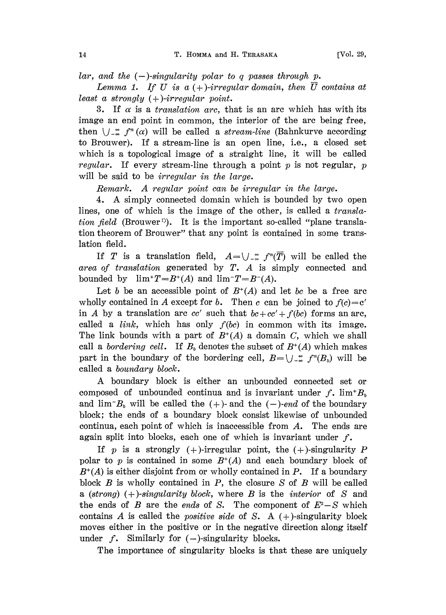lar, and the  $(-)$ -singularity polar to q passes through p.

Lemma 1. If U is a  $(+)$ -irregular domain, then  $\overline{U}$  contains at least a strongly  $(+)$ -irregular point.

3. If  $\alpha$  is a *translation arc*, that is an arc which has with its image an end point in common, the interior of the arc being free, then  $\bigcup_{n=1}^{\infty} f^n(\alpha)$  will be called a *stream-line* (Bahnkurve according to Brouwer). If a stream-line is an open line, i.e., a closed set which is a topological image of a straight line, it will be called *regular*. If every stream-line through a point  $p$  is not regular,  $p$ will be said to be *irregular in the large*.

Remark. A regular point can be irregular in the large.

4. A simply connected domain which is bounded by two open lines, one of which is the image of the other, is called a  $transla$ *tion field* (Brouwer<sup>1</sup>). It is the important so-called "plane translation theorem of Brouwer" that any point is contained in some translation field.

If T is a translation field,  $A=\bigcup_{n\in\mathbb{Z}} f^{n}(T)$  will be called the area of translation generated by  $T$ . A is simply connected and bounded by  $\lim^+T=B^+(A)$  and  $\lim^-T=B^-(A)$ .

Let b be an accessible point of  $B^+(A)$  and let bc be a free arc wholly contained in A except for b. Then c can be joined to  $f(c) = c'$ in A by a translation arc cc' such that  $bc+cc'+f(bc)$  forms an arc, called a  $link$ , which has only  $f(bc)$  in common with its image. The link bounds with a part of  $B^+(A)$  a domain C, which we shall call a bordering cell. If  $B<sub>b</sub>$  denotes the subset of  $B<sup>+</sup>(A)$  which makes part in the boundary of the bordering cell,  $B=\bigcup_{n\in\mathbb{Z}} f^{n}(B_{n})$  will be called a boundary block.

A boundary block is either an unbounded connected set or composed of unbounded continua and is invariant under  $f$ .  $\lim^{\dagger} B_{\varrho}$ and  $\lim B_b$  will be called the (+)- and the (-)-end of the boundary block; the ends of a boundary block consist likewise of unbounded continua, each point of which is inaccessible from A. The ends are again split into blocks, each one of which is invariant under  $f$ .

If p is a strongly  $(+)$ -irregular point, the  $(+)$ -singularity P polar to p is contained in some  $B^+(A)$  and each boundary block of  $B^+(A)$  is either disjoint from or wholly contained in P. If a boundary block  $B$  is wholly contained in  $P$ , the closure  $S$  of  $B$  will be called a (strong)  $(+)$ -singularity block, where B is the *interior* of S and the ends of B are the ends of S. The component of  $E^2-S$  which contains A is called the *positive side* of S. A  $(+)$ -singularity block moves either in the positive or in the negative direction along itself under  $f$ . Similarly for  $(-)$ -singularity blocks.

The importance of singularity blocks is that these are uniquely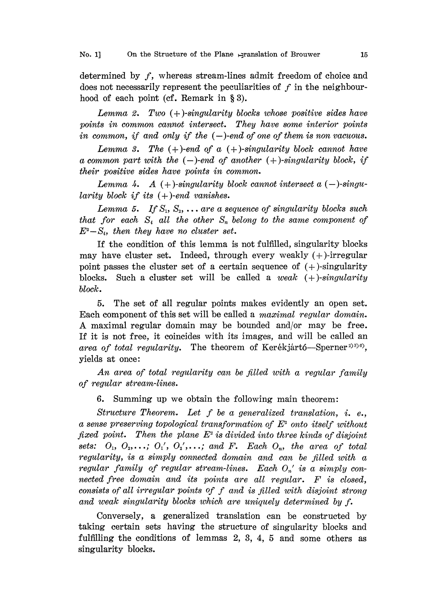## No. 1] On the Structure of the Plane  $\exists$ ranslation of Brouwer 15

determined by f, whereas stream-lines admit freedom of choice and does not necessarily represent the peculiarities of  $f$  in the neighbourhood of each point (cf. Remark in  $\S 3$ ).

Lemma 2. Two  $(+)$ -singularity blocks whose positive sides have points in common cannot intersect. They have some interior points in common, if and only if the  $(-)$ -end of one of them is non vacuous.

Lemma 3. The  $(+)$ -end of a  $(+)$ -singularity block cannot have a common part with the  $(-)$ -end of another  $(+)$ -singularity block, if their positive sides have points in common.

Lemma 4. A  $(+)$ -singularity block cannot intersect a  $(-)$ -singularity block if its  $(+)$ -end vanishes.

Lemma 5. If  $S_1, S_2, \ldots$  are a sequence of singularity blocks such that for each  $S_i$  all the other  $S_n$  belong to the same component of  $E^2-S_i$ , then they have no cluster set.

If the condition of this lemma is not fulfilled, singularity blocks may have cluster set. Indeed, through every weakly  $(+)$ -irregular point passes the cluster set of a certain sequence of  $(+)$ -singularity blocks. Such a cluster set will be called a weak  $(+)$ -singularity block.

5. The set of all regular points makes evidently an open set. Each component of this set will be called a *maximal regular domain*. A maximal regular domain may be bounded and/or may be iree. If it is not free, it coincides with its images, and will be called an area of total regularity. The theorem of Kerékjártó-Sperner<sup>2)3)6</sup>), yields at once:

An area of total regularity can be filled with a regular family of regular stream-lines.

6. Summing up we obtain the following main theorem:

Structure Theorem. Let f be a generalized translation, i. e., a sense preserving topological transformation of  $E<sup>2</sup>$  onto itself without fixed point. Then the plane  $E^2$  is divided into three kinds of disjoint sets:  $O_1$ ,  $O_2$ ,...;  $O_1'$ ,  $O_2'$ ,...; and F. Each  $O_n$ , the area of total regularity, is a simply connected domain and can be filled with a regular family of regular stream-lines. Each  $O_n'$  is a simply connected free domain and its points are all regular. F is closed, consists of all irregular points of f and is filled with disjoint strong and weak singularity blocks which are uniquely determined by f.

Conversely, a generalized translation can be constructed by taking certain sets having the structure of singularity blocks and fulfilling the conditions of lemmas 2, 3, 4, 5 and some others as singularity blocks.